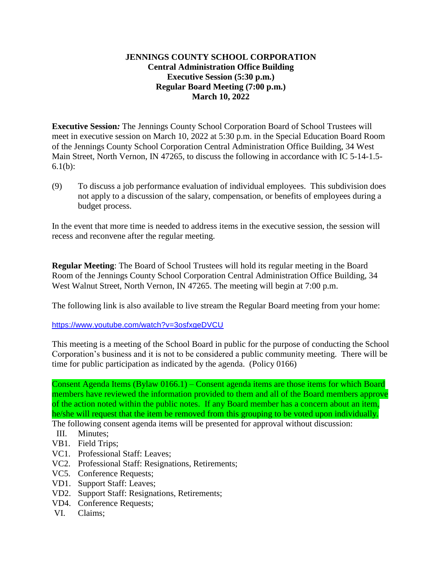## **JENNINGS COUNTY SCHOOL CORPORATION Central Administration Office Building Executive Session (5:30 p.m.) Regular Board Meeting (7:00 p.m.) March 10, 2022**

**Executive Session***:* The Jennings County School Corporation Board of School Trustees will meet in executive session on March 10, 2022 at 5:30 p.m. in the Special Education Board Room of the Jennings County School Corporation Central Administration Office Building, 34 West Main Street, North Vernon, IN 47265, to discuss the following in accordance with IC 5-14-1.5- 6.1(b):

(9) To discuss a job performance evaluation of individual employees. This subdivision does not apply to a discussion of the salary, compensation, or benefits of employees during a budget process.

In the event that more time is needed to address items in the executive session, the session will recess and reconvene after the regular meeting.

**Regular Meeting**: The Board of School Trustees will hold its regular meeting in the Board Room of the Jennings County School Corporation Central Administration Office Building, 34 West Walnut Street, North Vernon, IN 47265. The meeting will begin at 7:00 p.m.

The following link is also available to live stream the Regular Board meeting from your home:

<https://www.youtube.com/watch?v=3osfxgeDVCU>

This meeting is a meeting of the School Board in public for the purpose of conducting the School Corporation's business and it is not to be considered a public community meeting. There will be time for public participation as indicated by the agenda. (Policy 0166)

Consent Agenda Items (Bylaw 0166.1) – Consent agenda items are those items for which Board members have reviewed the information provided to them and all of the Board members approve of the action noted within the public notes. If any Board member has a concern about an item, he/she will request that the item be removed from this grouping to be voted upon individually.

The following consent agenda items will be presented for approval without discussion:

- III. Minutes;
- VB1. Field Trips;
- VC1. Professional Staff: Leaves;
- VC2. Professional Staff: Resignations, Retirements;
- VC5. Conference Requests;
- VD1. Support Staff: Leaves;
- VD2. Support Staff: Resignations, Retirements;
- VD4. Conference Requests;
- VI. Claims;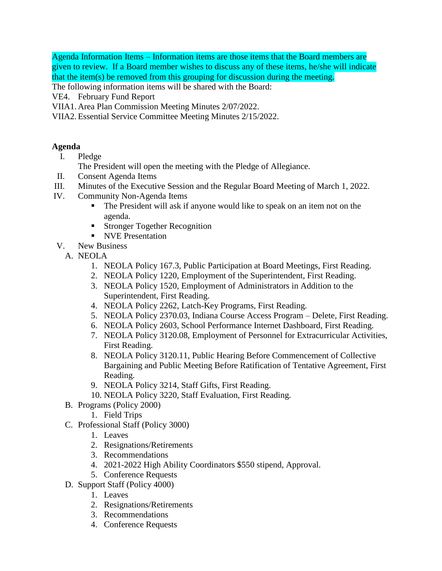Agenda Information Items – Information items are those items that the Board members are given to review. If a Board member wishes to discuss any of these items, he/she will indicate that the item(s) be removed from this grouping for discussion during the meeting.

The following information items will be shared with the Board:

- VE4. February Fund Report
- VIIA1. Area Plan Commission Meeting Minutes 2/07/2022.

VIIA2.Essential Service Committee Meeting Minutes 2/15/2022.

## **Agenda**

I. Pledge

The President will open the meeting with the Pledge of Allegiance.

- II. Consent Agenda Items
- III. Minutes of the Executive Session and the Regular Board Meeting of March 1, 2022.
- IV. Community Non-Agenda Items
	- The President will ask if anyone would like to speak on an item not on the agenda.
	- **Stronger Together Recognition**
	- **NVE Presentation**
- V. New Business
	- A. NEOLA
		- 1. NEOLA Policy 167.3, Public Participation at Board Meetings, First Reading.
		- 2. NEOLA Policy 1220, Employment of the Superintendent, First Reading.
		- 3. NEOLA Policy 1520, Employment of Administrators in Addition to the Superintendent, First Reading.
		- 4. NEOLA Policy 2262, Latch-Key Programs, First Reading.
		- 5. NEOLA Policy 2370.03, Indiana Course Access Program Delete, First Reading.
		- 6. NEOLA Policy 2603, School Performance Internet Dashboard, First Reading.
		- 7. NEOLA Policy 3120.08, Employment of Personnel for Extracurricular Activities, First Reading.
		- 8. NEOLA Policy 3120.11, Public Hearing Before Commencement of Collective Bargaining and Public Meeting Before Ratification of Tentative Agreement, First Reading.
		- 9. NEOLA Policy 3214, Staff Gifts, First Reading.
		- 10. NEOLA Policy 3220, Staff Evaluation, First Reading.
	- B. Programs (Policy 2000)
		- 1. Field Trips
	- C. Professional Staff (Policy 3000)
		- 1. Leaves
		- 2. Resignations/Retirements
		- 3. Recommendations
		- 4. 2021-2022 High Ability Coordinators \$550 stipend, Approval.
		- 5. Conference Requests
	- D. Support Staff (Policy 4000)
		- 1. Leaves
		- 2. Resignations/Retirements
		- 3. Recommendations
		- 4. Conference Requests